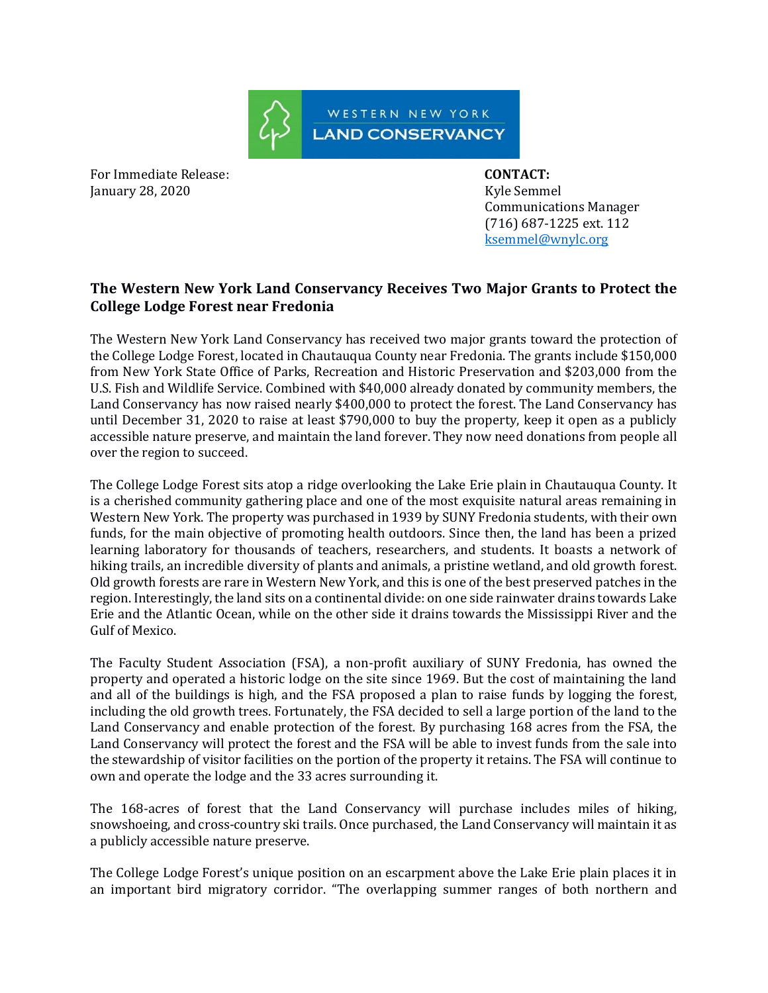

For Immediate Release: **CONTACT:**  January 28, 2020 **Kyle Semmel** 

 Communications Manager (716) 687-1225 ext. 112 ksemmel@wnylc.org

## **The Western New York Land Conservancy Receives Two Major Grants to Protect the College Lodge Forest near Fredonia**

The Western New York Land Conservancy has received two major grants toward the protection of the College Lodge Forest, located in Chautauqua County near Fredonia. The grants include \$150,000 from New York State Office of Parks, Recreation and Historic Preservation and \$203,000 from the U.S. Fish and Wildlife Service. Combined with \$40,000 already donated by community members, the Land Conservancy has now raised nearly \$400,000 to protect the forest. The Land Conservancy has until December 31, 2020 to raise at least \$790,000 to buy the property, keep it open as a publicly accessible nature preserve, and maintain the land forever. They now need donations from people all over the region to succeed.

The College Lodge Forest sits atop a ridge overlooking the Lake Erie plain in Chautauqua County. It is a cherished community gathering place and one of the most exquisite natural areas remaining in Western New York. The property was purchased in 1939 by SUNY Fredonia students, with their own funds, for the main objective of promoting health outdoors. Since then, the land has been a prized learning laboratory for thousands of teachers, researchers, and students. It boasts a network of hiking trails, an incredible diversity of plants and animals, a pristine wetland, and old growth forest. Old growth forests are rare in Western New York, and this is one of the best preserved patches in the region. Interestingly, the land sits on a continental divide: on one side rainwater drains towards Lake Erie and the Atlantic Ocean, while on the other side it drains towards the Mississippi River and the Gulf of Mexico.

The Faculty Student Association (FSA), a non-profit auxiliary of SUNY Fredonia, has owned the property and operated a historic lodge on the site since 1969. But the cost of maintaining the land and all of the buildings is high, and the FSA proposed a plan to raise funds by logging the forest, including the old growth trees. Fortunately, the FSA decided to sell a large portion of the land to the Land Conservancy and enable protection of the forest. By purchasing 168 acres from the FSA, the Land Conservancy will protect the forest and the FSA will be able to invest funds from the sale into the stewardship of visitor facilities on the portion of the property it retains. The FSA will continue to own and operate the lodge and the 33 acres surrounding it.

The 168-acres of forest that the Land Conservancy will purchase includes miles of hiking, snowshoeing, and cross-country ski trails. Once purchased, the Land Conservancy will maintain it as a publicly accessible nature preserve.

The College Lodge Forest's unique position on an escarpment above the Lake Erie plain places it in an important bird migratory corridor. "The overlapping summer ranges of both northern and